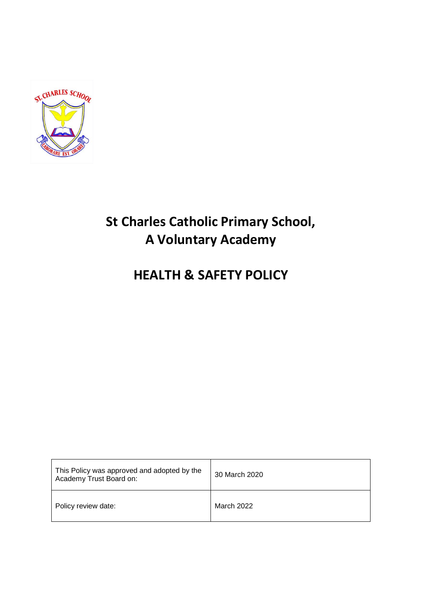

# **St Charles Catholic Primary School, A Voluntary Academy**

# **HEALTH & SAFETY POLICY**

| This Policy was approved and adopted by the<br>Academy Trust Board on: | 30 March 2020 |
|------------------------------------------------------------------------|---------------|
| Policy review date:                                                    | March 2022    |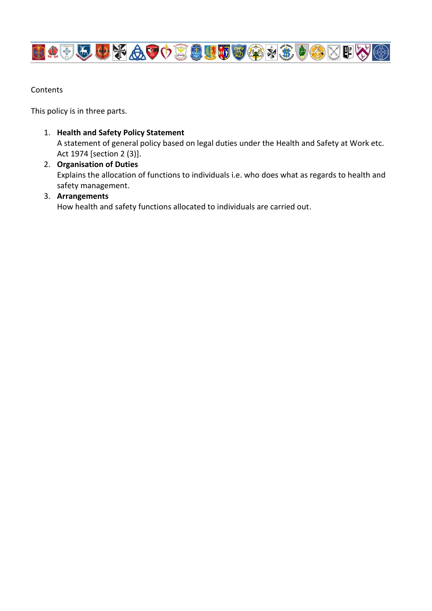

Contents

This policy is in three parts.

- 1. **Health and Safety Policy Statement** A statement of general policy based on legal duties under the Health and Safety at Work etc. Act 1974 [section 2 (3)].
- 2. **Organisation of Duties** Explains the allocation of functions to individuals i.e. who does what as regards to health and safety management.

# 3. **Arrangements**

How health and safety functions allocated to individuals are carried out.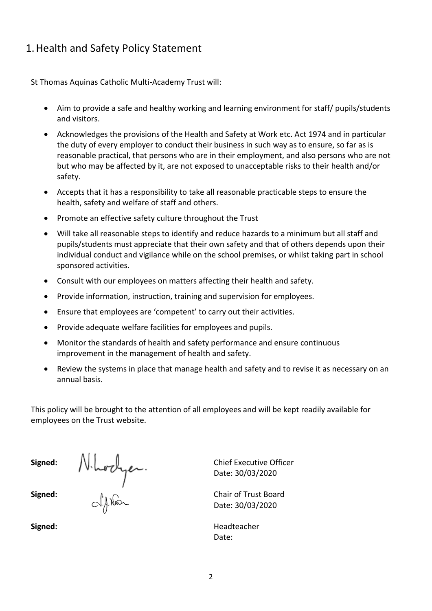# 1.Health and Safety Policy Statement

St Thomas Aquinas Catholic Multi-Academy Trust will:

- Aim to provide a safe and healthy working and learning environment for staff/ pupils/students and visitors.
- Acknowledges the provisions of the Health and Safety at Work etc. Act 1974 and in particular the duty of every employer to conduct their business in such way as to ensure, so far as is reasonable practical, that persons who are in their employment, and also persons who are not but who may be affected by it, are not exposed to unacceptable risks to their health and/or safety.
- Accepts that it has a responsibility to take all reasonable practicable steps to ensure the health, safety and welfare of staff and others.
- Promote an effective safety culture throughout the Trust
- Will take all reasonable steps to identify and reduce hazards to a minimum but all staff and pupils/students must appreciate that their own safety and that of others depends upon their individual conduct and vigilance while on the school premises, or whilst taking part in school sponsored activities.
- Consult with our employees on matters affecting their health and safety.
- Provide information, instruction, training and supervision for employees.
- Ensure that employees are 'competent' to carry out their activities.
- Provide adequate welfare facilities for employees and pupils.
- Monitor the standards of health and safety performance and ensure continuous improvement in the management of health and safety.
- Review the systems in place that manage health and safety and to revise it as necessary on an annual basis.

This policy will be brought to the attention of all employees and will be kept readily available for employees on the Trust website.

**Signed:** Chief Executive Officer **Signed:**  $A_0 \cap$  Chair of Trust Board

Date: 30/03/2020

Date: 30/03/2020

Signed: **Signed: Headteacher Headteacher** Date: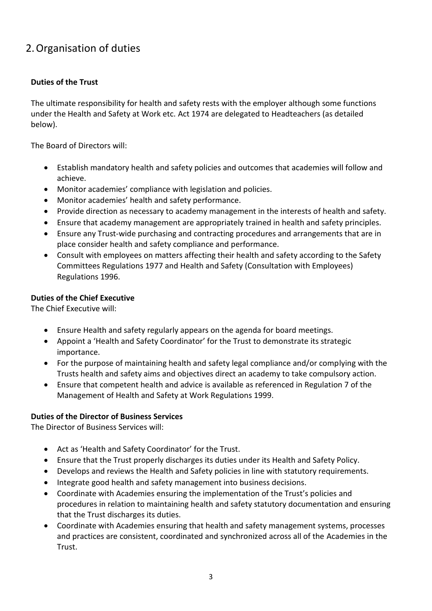# 2.Organisation of duties

# **Duties of the Trust**

The ultimate responsibility for health and safety rests with the employer although some functions under the Health and Safety at Work etc. Act 1974 are delegated to Headteachers (as detailed below).

The Board of Directors will:

- Establish mandatory health and safety policies and outcomes that academies will follow and achieve.
- Monitor academies' compliance with legislation and policies.
- Monitor academies' health and safety performance.
- Provide direction as necessary to academy management in the interests of health and safety.
- Ensure that academy management are appropriately trained in health and safety principles.
- Ensure any Trust-wide purchasing and contracting procedures and arrangements that are in place consider health and safety compliance and performance.
- Consult with employees on matters affecting their health and safety according to the Safety Committees Regulations 1977 and Health and Safety (Consultation with Employees) Regulations 1996.

# **Duties of the Chief Executive**

The Chief Executive will:

- Ensure Health and safety regularly appears on the agenda for board meetings.
- Appoint a 'Health and Safety Coordinator' for the Trust to demonstrate its strategic importance.
- For the purpose of maintaining health and safety legal compliance and/or complying with the Trusts health and safety aims and objectives direct an academy to take compulsory action.
- Ensure that competent health and advice is available as referenced in Regulation 7 of the Management of Health and Safety at Work Regulations 1999.

# **Duties of the Director of Business Services**

The Director of Business Services will:

- Act as 'Health and Safety Coordinator' for the Trust.
- Ensure that the Trust properly discharges its duties under its Health and Safety Policy.
- Develops and reviews the Health and Safety policies in line with statutory requirements.
- Integrate good health and safety management into business decisions.
- Coordinate with Academies ensuring the implementation of the Trust's policies and procedures in relation to maintaining health and safety statutory documentation and ensuring that the Trust discharges its duties.
- Coordinate with Academies ensuring that health and safety management systems, processes and practices are consistent, coordinated and synchronized across all of the Academies in the Trust.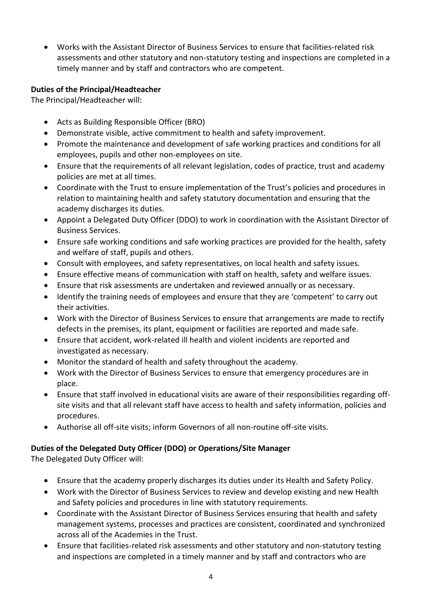Works with the Assistant Director of Business Services to ensure that facilities-related risk assessments and other statutory and non-statutory testing and inspections are completed in a timely manner and by staff and contractors who are competent.

# **Duties of the Principal/Headteacher**

The Principal/Headteacher will:

- Acts as Building Responsible Officer (BRO)
- Demonstrate visible, active commitment to health and safety improvement.
- Promote the maintenance and development of safe working practices and conditions for all employees, pupils and other non-employees on site.
- Ensure that the requirements of all relevant legislation, codes of practice, trust and academy policies are met at all times.
- Coordinate with the Trust to ensure implementation of the Trust's policies and procedures in relation to maintaining health and safety statutory documentation and ensuring that the academy discharges its duties.
- Appoint a Delegated Duty Officer (DDO) to work in coordination with the Assistant Director of Business Services.
- Ensure safe working conditions and safe working practices are provided for the health, safety and welfare of staff, pupils and others.
- Consult with employees, and safety representatives, on local health and safety issues.
- Ensure effective means of communication with staff on health, safety and welfare issues.
- Ensure that risk assessments are undertaken and reviewed annually or as necessary.
- Identify the training needs of employees and ensure that they are 'competent' to carry out their activities.
- Work with the Director of Business Services to ensure that arrangements are made to rectify defects in the premises, its plant, equipment or facilities are reported and made safe.
- Ensure that accident, work-related ill health and violent incidents are reported and investigated as necessary.
- Monitor the standard of health and safety throughout the academy.
- Work with the Director of Business Services to ensure that emergency procedures are in place.
- Ensure that staff involved in educational visits are aware of their responsibilities regarding offsite visits and that all relevant staff have access to health and safety information, policies and procedures.
- Authorise all off-site visits; inform Governors of all non-routine off-site visits.

# **Duties of the Delegated Duty Officer (DDO) or Operations/Site Manager**

The Delegated Duty Officer will:

- Ensure that the academy properly discharges its duties under its Health and Safety Policy.
- Work with the Director of Business Services to review and develop existing and new Health and Safety policies and procedures in line with statutory requirements.
- Coordinate with the Assistant Director of Business Services ensuring that health and safety management systems, processes and practices are consistent, coordinated and synchronized across all of the Academies in the Trust.
- Ensure that facilities-related risk assessments and other statutory and non-statutory testing and inspections are completed in a timely manner and by staff and contractors who are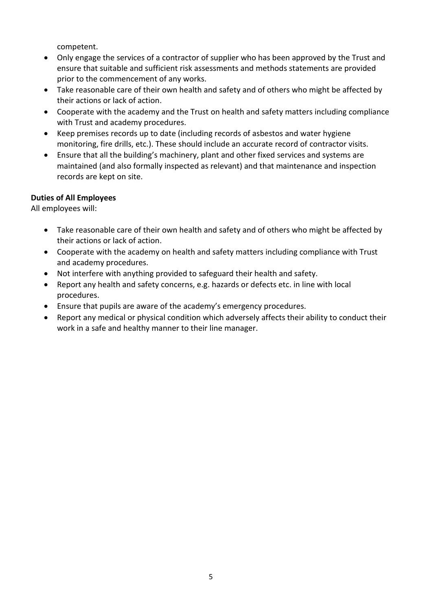competent.

- Only engage the services of a contractor of supplier who has been approved by the Trust and ensure that suitable and sufficient risk assessments and methods statements are provided prior to the commencement of any works.
- Take reasonable care of their own health and safety and of others who might be affected by their actions or lack of action.
- Cooperate with the academy and the Trust on health and safety matters including compliance with Trust and academy procedures.
- Keep premises records up to date (including records of asbestos and water hygiene monitoring, fire drills, etc.). These should include an accurate record of contractor visits.
- Ensure that all the building's machinery, plant and other fixed services and systems are maintained (and also formally inspected as relevant) and that maintenance and inspection records are kept on site.

# **Duties of All Employees**

All employees will:

- Take reasonable care of their own health and safety and of others who might be affected by their actions or lack of action.
- Cooperate with the academy on health and safety matters including compliance with Trust and academy procedures.
- Not interfere with anything provided to safeguard their health and safety.
- Report any health and safety concerns, e.g. hazards or defects etc. in line with local procedures.
- Ensure that pupils are aware of the academy's emergency procedures.
- Report any medical or physical condition which adversely affects their ability to conduct their work in a safe and healthy manner to their line manager.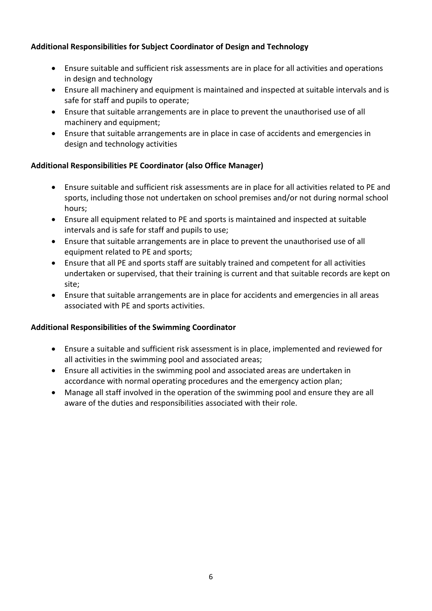# **Additional Responsibilities for Subject Coordinator of Design and Technology**

- Ensure suitable and sufficient risk assessments are in place for all activities and operations in design and technology
- Ensure all machinery and equipment is maintained and inspected at suitable intervals and is safe for staff and pupils to operate;
- Ensure that suitable arrangements are in place to prevent the unauthorised use of all machinery and equipment;
- Ensure that suitable arrangements are in place in case of accidents and emergencies in design and technology activities

# **Additional Responsibilities PE Coordinator (also Office Manager)**

- Ensure suitable and sufficient risk assessments are in place for all activities related to PE and sports, including those not undertaken on school premises and/or not during normal school hours;
- Ensure all equipment related to PE and sports is maintained and inspected at suitable intervals and is safe for staff and pupils to use;
- Ensure that suitable arrangements are in place to prevent the unauthorised use of all equipment related to PE and sports;
- Ensure that all PE and sports staff are suitably trained and competent for all activities undertaken or supervised, that their training is current and that suitable records are kept on site;
- Ensure that suitable arrangements are in place for accidents and emergencies in all areas associated with PE and sports activities.

# **Additional Responsibilities of the Swimming Coordinator**

- Ensure a suitable and sufficient risk assessment is in place, implemented and reviewed for all activities in the swimming pool and associated areas;
- Ensure all activities in the swimming pool and associated areas are undertaken in accordance with normal operating procedures and the emergency action plan;
- Manage all staff involved in the operation of the swimming pool and ensure they are all aware of the duties and responsibilities associated with their role.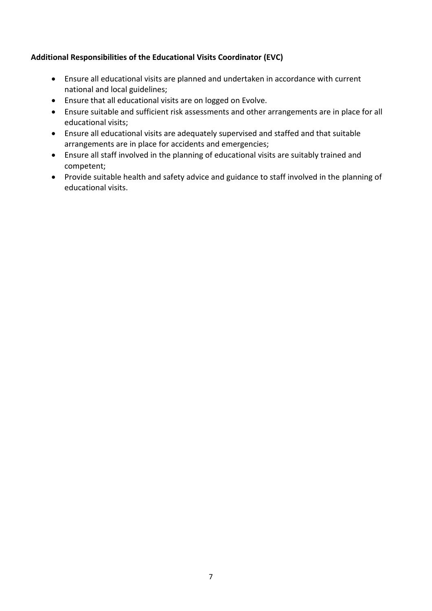# **Additional Responsibilities of the Educational Visits Coordinator (EVC)**

- Ensure all educational visits are planned and undertaken in accordance with current national and local guidelines;
- Ensure that all educational visits are on logged on Evolve.
- Ensure suitable and sufficient risk assessments and other arrangements are in place for all educational visits;
- Ensure all educational visits are adequately supervised and staffed and that suitable arrangements are in place for accidents and emergencies;
- Ensure all staff involved in the planning of educational visits are suitably trained and competent;
- Provide suitable health and safety advice and guidance to staff involved in the planning of educational visits.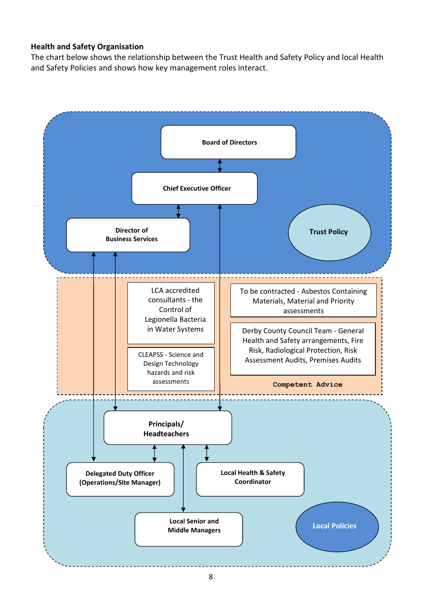#### **Health and Safety Organisation**

The chart below shows the relationship between the Trust Health and Safety Policy and local Health and Safety Policies and shows how key management roles interact.

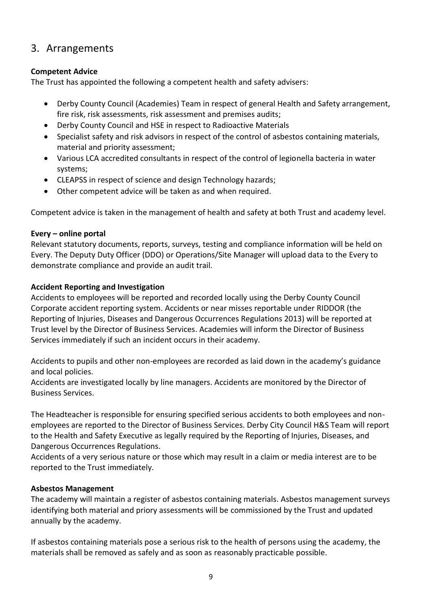# 3. Arrangements

# **Competent Advice**

The Trust has appointed the following a competent health and safety advisers:

- Derby County Council (Academies) Team in respect of general Health and Safety arrangement, fire risk, risk assessments, risk assessment and premises audits;
- Derby County Council and HSE in respect to Radioactive Materials
- Specialist safety and risk advisors in respect of the control of asbestos containing materials, material and priority assessment;
- Various LCA accredited consultants in respect of the control of legionella bacteria in water systems;
- CLEAPSS in respect of science and design Technology hazards;
- Other competent advice will be taken as and when required.

Competent advice is taken in the management of health and safety at both Trust and academy level.

# **Every – online portal**

Relevant statutory documents, reports, surveys, testing and compliance information will be held on Every. The Deputy Duty Officer (DDO) or Operations/Site Manager will upload data to the Every to demonstrate compliance and provide an audit trail.

# **Accident Reporting and Investigation**

Accidents to employees will be reported and recorded locally using the Derby County Council Corporate accident reporting system. Accidents or near misses reportable under RIDDOR (the Reporting of Injuries, Diseases and Dangerous Occurrences Regulations 2013) will be reported at Trust level by the Director of Business Services. Academies will inform the Director of Business Services immediately if such an incident occurs in their academy.

Accidents to pupils and other non-employees are recorded as laid down in the academy's guidance and local policies.

Accidents are investigated locally by line managers. Accidents are monitored by the Director of Business Services.

The Headteacher is responsible for ensuring specified serious accidents to both employees and nonemployees are reported to the Director of Business Services. Derby City Council H&S Team will report to the Health and Safety Executive as legally required by the Reporting of Injuries, Diseases, and Dangerous Occurrences Regulations.

Accidents of a very serious nature or those which may result in a claim or media interest are to be reported to the Trust immediately.

# **Asbestos Management**

The academy will maintain a register of asbestos containing materials. Asbestos management surveys identifying both material and priory assessments will be commissioned by the Trust and updated annually by the academy.

If asbestos containing materials pose a serious risk to the health of persons using the academy, the materials shall be removed as safely and as soon as reasonably practicable possible.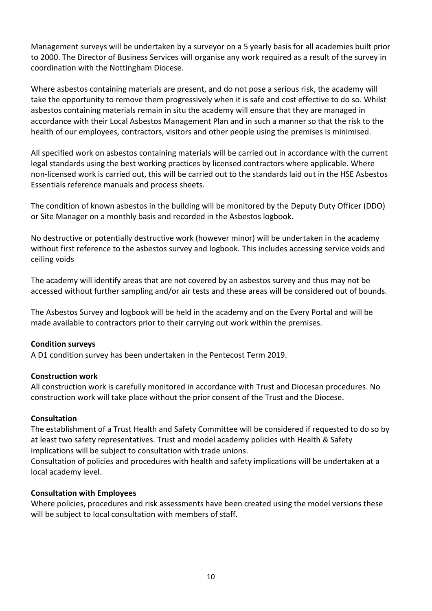Management surveys will be undertaken by a surveyor on a 5 yearly basis for all academies built prior to 2000. The Director of Business Services will organise any work required as a result of the survey in coordination with the Nottingham Diocese.

Where asbestos containing materials are present, and do not pose a serious risk, the academy will take the opportunity to remove them progressively when it is safe and cost effective to do so. Whilst asbestos containing materials remain in situ the academy will ensure that they are managed in accordance with their Local Asbestos Management Plan and in such a manner so that the risk to the health of our employees, contractors, visitors and other people using the premises is minimised.

All specified work on asbestos containing materials will be carried out in accordance with the current legal standards using the best working practices by licensed contractors where applicable. Where non-licensed work is carried out, this will be carried out to the standards laid out in the HSE Asbestos Essentials reference manuals and process sheets.

The condition of known asbestos in the building will be monitored by the Deputy Duty Officer (DDO) or Site Manager on a monthly basis and recorded in the Asbestos logbook.

No destructive or potentially destructive work (however minor) will be undertaken in the academy without first reference to the asbestos survey and logbook. This includes accessing service voids and ceiling voids

The academy will identify areas that are not covered by an asbestos survey and thus may not be accessed without further sampling and/or air tests and these areas will be considered out of bounds.

The Asbestos Survey and logbook will be held in the academy and on the Every Portal and will be made available to contractors prior to their carrying out work within the premises.

# **Condition surveys**

A D1 condition survey has been undertaken in the Pentecost Term 2019.

#### **Construction work**

All construction work is carefully monitored in accordance with Trust and Diocesan procedures. No construction work will take place without the prior consent of the Trust and the Diocese.

#### **Consultation**

The establishment of a Trust Health and Safety Committee will be considered if requested to do so by at least two safety representatives. Trust and model academy policies with Health & Safety implications will be subject to consultation with trade unions.

Consultation of policies and procedures with health and safety implications will be undertaken at a local academy level.

#### **Consultation with Employees**

Where policies, procedures and risk assessments have been created using the model versions these will be subject to local consultation with members of staff.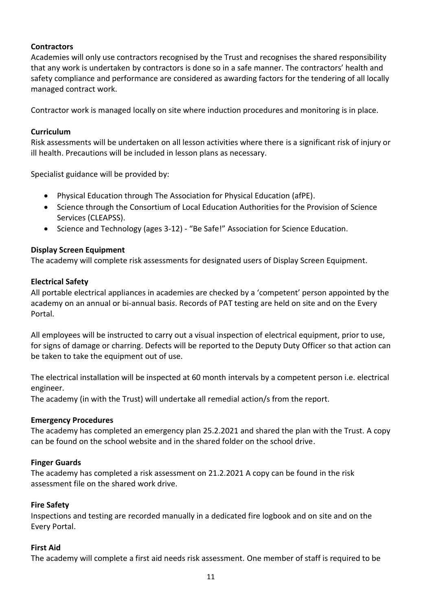# **Contractors**

Academies will only use contractors recognised by the Trust and recognises the shared responsibility that any work is undertaken by contractors is done so in a safe manner. The contractors' health and safety compliance and performance are considered as awarding factors for the tendering of all locally managed contract work.

Contractor work is managed locally on site where induction procedures and monitoring is in place.

# **Curriculum**

Risk assessments will be undertaken on all lesson activities where there is a significant risk of injury or ill health. Precautions will be included in lesson plans as necessary.

Specialist guidance will be provided by:

- Physical Education through The Association for Physical Education (afPE).
- Science through the Consortium of Local Education Authorities for the Provision of Science Services (CLEAPSS).
- Science and Technology (ages 3-12) "Be Safe!" Association for Science Education.

# **Display Screen Equipment**

The academy will complete risk assessments for designated users of Display Screen Equipment.

# **Electrical Safety**

All portable electrical appliances in academies are checked by a 'competent' person appointed by the academy on an annual or bi-annual basi*s*. Records of PAT testing are held on site and on the Every Portal.

All employees will be instructed to carry out a visual inspection of electrical equipment, prior to use, for signs of damage or charring. Defects will be reported to the Deputy Duty Officer so that action can be taken to take the equipment out of use.

The electrical installation will be inspected at 60 month intervals by a competent person i.e. electrical engineer.

The academy (in with the Trust) will undertake all remedial action/s from the report.

# **Emergency Procedures**

The academy has completed an emergency plan 25.2.2021 and shared the plan with the Trust. A copy can be found on the school website and in the shared folder on the school drive.

# **Finger Guards**

The academy has completed a risk assessment on 21.2.2021 A copy can be found in the risk assessment file on the shared work drive.

# **Fire Safety**

Inspections and testing are recorded manually in a dedicated fire logbook and on site and on the Every Portal.

# **First Aid**

The academy will complete a first aid needs risk assessment. One member of staff is required to be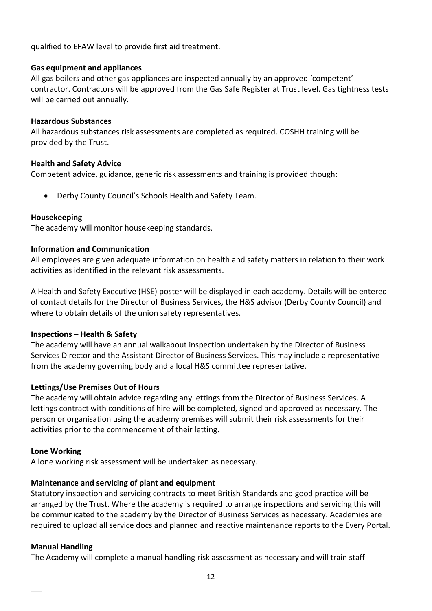qualified to EFAW level to provide first aid treatment.

#### **Gas equipment and appliances**

All gas boilers and other gas appliances are inspected annually by an approved 'competent' contractor. Contractors will be approved from the Gas Safe Register at Trust level. Gas tightness tests will be carried out annually.

#### **Hazardous Substances**

All hazardous substances risk assessments are completed as required. COSHH training will be provided by the Trust.

#### **Health and Safety Advice**

Competent advice, guidance, generic risk assessments and training is provided though:

Derby County Council's Schools Health and Safety Team.

#### **Housekeeping**

The academy will monitor housekeeping standards.

#### **Information and Communication**

All employees are given adequate information on health and safety matters in relation to their work activities as identified in the relevant risk assessments.

A Health and Safety Executive (HSE) poster will be displayed in each academy. Details will be entered of contact details for the Director of Business Services, the H&S advisor (Derby County Council) and where to obtain details of the union safety representatives.

#### **Inspections – Health & Safety**

The academy will have an annual walkabout inspection undertaken by the Director of Business Services Director and the Assistant Director of Business Services. This may include a representative from the academy governing body and a local H&S committee representative.

# **Lettings/Use Premises Out of Hours**

The academy will obtain advice regarding any lettings from the Director of Business Services. A lettings contract with conditions of hire will be completed, signed and approved as necessary. The person or organisation using the academy premises will submit their risk assessments for their activities prior to the commencement of their letting.

#### **Lone Working**

A lone working risk assessment will be undertaken as necessary.

# **Maintenance and servicing of plant and equipment**

Statutory inspection and servicing contracts to meet British Standards and good practice will be arranged by the Trust. Where the academy is required to arrange inspections and servicing this will be communicated to the academy by the Director of Business Services as necessary. Academies are required to upload all service docs and planned and reactive maintenance reports to the Every Portal.

# **Manual Handling**

The Academy will complete a manual handling risk assessment as necessary and will train staff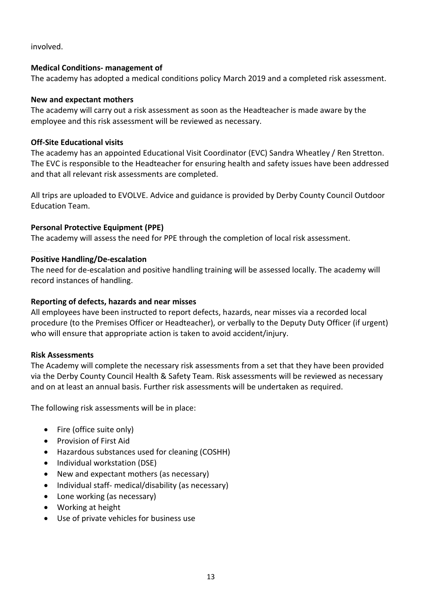involved.

#### **Medical Conditions- management of**

The academy has adopted a medical conditions policy March 2019 and a completed risk assessment.

#### **New and expectant mothers**

The academy will carry out a risk assessment as soon as the Headteacher is made aware by the employee and this risk assessment will be reviewed as necessary.

#### **Off-Site Educational visits**

The academy has an appointed Educational Visit Coordinator (EVC) Sandra Wheatley / Ren Stretton. The EVC is responsible to the Headteacher for ensuring health and safety issues have been addressed and that all relevant risk assessments are completed.

All trips are uploaded to EVOLVE. Advice and guidance is provided by Derby County Council Outdoor Education Team.

# **Personal Protective Equipment (PPE)**

The academy will assess the need for PPE through the completion of local risk assessment.

#### **Positive Handling/De-escalation**

The need for de-escalation and positive handling training will be assessed locally. The academy will record instances of handling.

#### **Reporting of defects, hazards and near misses**

All employees have been instructed to report defects, hazards, near misses via a recorded local procedure (to the Premises Officer or Headteacher), or verbally to the Deputy Duty Officer (if urgent) who will ensure that appropriate action is taken to avoid accident/injury.

#### **Risk Assessments**

The Academy will complete the necessary risk assessments from a set that they have been provided via the Derby County Council Health & Safety Team. Risk assessments will be reviewed as necessary and on at least an annual basis. Further risk assessments will be undertaken as required.

The following risk assessments will be in place:

- Fire (office suite only)
- **•** Provision of First Aid
- Hazardous substances used for cleaning (COSHH)
- Individual workstation (DSE)
- New and expectant mothers (as necessary)
- Individual staff- medical/disability (as necessary)
- Lone working (as necessary)
- Working at height
- Use of private vehicles for business use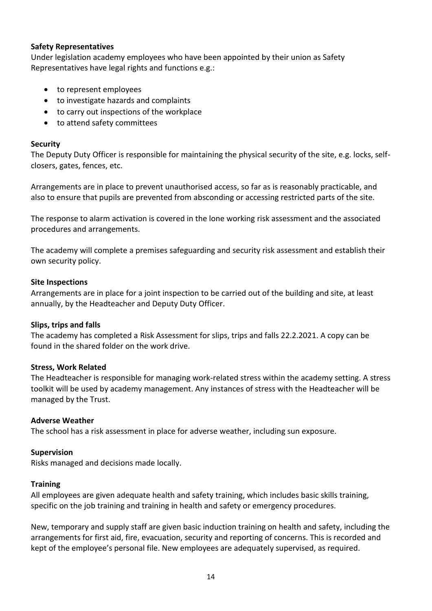#### **Safety Representatives**

Under legislation academy employees who have been appointed by their union as Safety Representatives have legal rights and functions e.g.:

- to represent employees
- to investigate hazards and complaints
- to carry out inspections of the workplace
- to attend safety committees

#### **Security**

The Deputy Duty Officer is responsible for maintaining the physical security of the site, e.g. locks, selfclosers, gates, fences, etc.

Arrangements are in place to prevent unauthorised access, so far as is reasonably practicable, and also to ensure that pupils are prevented from absconding or accessing restricted parts of the site.

The response to alarm activation is covered in the lone working risk assessment and the associated procedures and arrangements.

The academy will complete a premises safeguarding and security risk assessment and establish their own security policy.

#### **Site Inspections**

Arrangements are in place for a joint inspection to be carried out of the building and site, at least annually, by the Headteacher and Deputy Duty Officer.

# **Slips, trips and falls**

The academy has completed a Risk Assessment for slips, trips and falls 22.2.2021. A copy can be found in the shared folder on the work drive.

# **Stress, Work Related**

The Headteacher is responsible for managing work-related stress within the academy setting. A stress toolkit will be used by academy management. Any instances of stress with the Headteacher will be managed by the Trust.

# **Adverse Weather**

The school has a risk assessment in place for adverse weather, including sun exposure.

# **Supervision**

Risks managed and decisions made locally.

#### **Training**

All employees are given adequate health and safety training, which includes basic skills training, specific on the job training and training in health and safety or emergency procedures.

New, temporary and supply staff are given basic induction training on health and safety, including the arrangements for first aid, fire, evacuation, security and reporting of concerns. This is recorded and kept of the employee's personal file. New employees are adequately supervised, as required.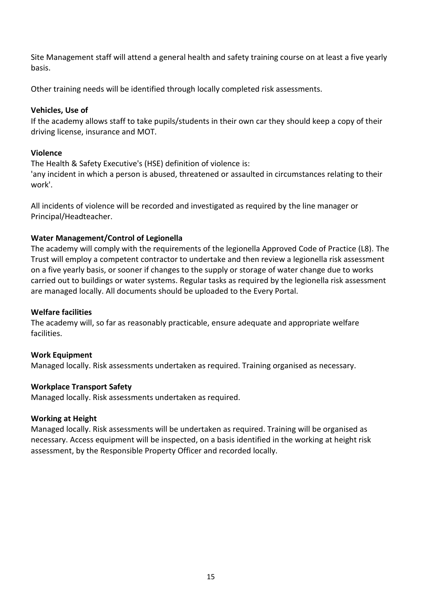Site Management staff will attend a general health and safety training course on at least a five yearly basis.

Other training needs will be identified through locally completed risk assessments.

# **Vehicles, Use of**

If the academy allows staff to take pupils/students in their own car they should keep a copy of their driving license, insurance and MOT.

# **Violence**

The Health & Safety Executive's (HSE) definition of violence is:

'any incident in which a person is abused, threatened or assaulted in circumstances relating to their work'.

All incidents of violence will be recorded and investigated as required by the line manager or Principal/Headteacher.

# **Water Management/Control of Legionella**

The academy will comply with the requirements of the legionella Approved Code of Practice (L8). The Trust will employ a competent contractor to undertake and then review a legionella risk assessment on a five yearly basis, or sooner if changes to the supply or storage of water change due to works carried out to buildings or water systems. Regular tasks as required by the legionella risk assessment are managed locally. All documents should be uploaded to the Every Portal.

# **Welfare facilities**

The academy will, so far as reasonably practicable, ensure adequate and appropriate welfare facilities.

# **Work Equipment**

Managed locally. Risk assessments undertaken as required. Training organised as necessary.

# **Workplace Transport Safety**

Managed locally. Risk assessments undertaken as required.

# **Working at Height**

Managed locally. Risk assessments will be undertaken as required. Training will be organised as necessary. Access equipment will be inspected, on a basis identified in the working at height risk assessment, by the Responsible Property Officer and recorded locally.